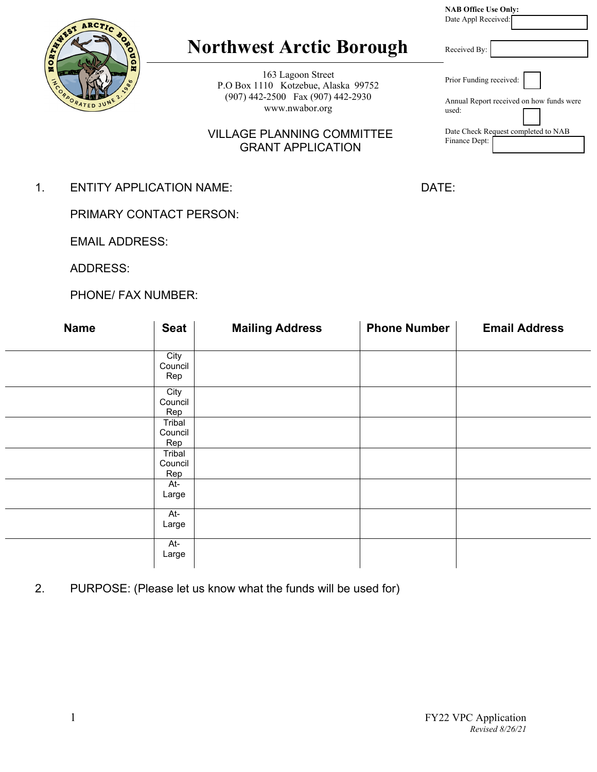|                                                                                                                 | <b>NAB Office Use Only:</b><br>Date Appl Received:                           |
|-----------------------------------------------------------------------------------------------------------------|------------------------------------------------------------------------------|
| <b>Northwest Arctic Borough</b>                                                                                 | Received By:                                                                 |
| 163 Lagoon Street<br>P.O Box 1110 Kotzebue, Alaska 99752<br>(907) 442-2500 Fax (907) 442-2930<br>www.nwabor.org | Prior Funding received:<br>Annual Report received on how funds were<br>used: |
| <b>VILLAGE PLANNING COMMITTEE</b><br><b>GRANT APPLICATION</b>                                                   | Date Check Request completed to NAB<br>Finance Dept:                         |

1. ENTITY APPLICATION NAME: DATE:

PRIMARY CONTACT PERSON:

EMAIL ADDRESS:

ADDRESS:

ARCT

å

PHONE/ FAX NUMBER:

| <b>Name</b> | <b>Seat</b>              | <b>Mailing Address</b> | <b>Phone Number</b> | <b>Email Address</b> |
|-------------|--------------------------|------------------------|---------------------|----------------------|
|             | City<br>Council<br>Rep   |                        |                     |                      |
|             | City<br>Council<br>Rep   |                        |                     |                      |
|             | Tribal<br>Council<br>Rep |                        |                     |                      |
|             | Tribal<br>Council<br>Rep |                        |                     |                      |
|             | At-<br>Large             |                        |                     |                      |
|             | At-<br>Large             |                        |                     |                      |
|             | At-<br>Large             |                        |                     |                      |

2. PURPOSE: (Please let us know what the funds will be used for)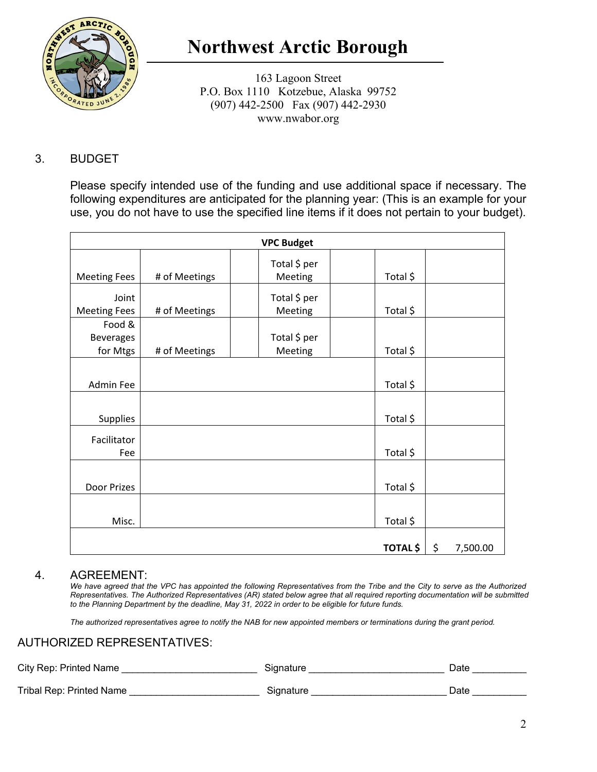

# **Northwest Arctic Borough**

163 Lagoon Street P.O. Box 1110 Kotzebue, Alaska 99752 (907) 442-2500 Fax (907) 442-2930 www.nwabor.org

### 3. BUDGET

Please specify intended use of the funding and use additional space if necessary. The following expenditures are anticipated for the planning year: (This is an example for your use, you do not have to use the specified line items if it does not pertain to your budget).

| <b>VPC Budget</b>   |               |                         |                 |    |          |  |
|---------------------|---------------|-------------------------|-----------------|----|----------|--|
| <b>Meeting Fees</b> | # of Meetings | Total \$ per<br>Meeting | Total \$        |    |          |  |
| Joint               |               | Total \$ per            |                 |    |          |  |
| <b>Meeting Fees</b> | # of Meetings | Meeting                 | Total \$        |    |          |  |
| Food &              |               |                         |                 |    |          |  |
| <b>Beverages</b>    |               | Total \$ per            |                 |    |          |  |
| for Mtgs            | # of Meetings | Meeting                 | Total \$        |    |          |  |
|                     |               |                         |                 |    |          |  |
| Admin Fee           |               |                         | Total \$        |    |          |  |
|                     |               |                         |                 |    |          |  |
| <b>Supplies</b>     |               |                         | Total \$        |    |          |  |
| Facilitator         |               |                         |                 |    |          |  |
| Fee                 |               |                         | Total \$        |    |          |  |
|                     |               |                         |                 |    |          |  |
| Door Prizes         |               |                         | Total \$        |    |          |  |
|                     |               |                         |                 |    |          |  |
| Misc.               |               |                         | Total \$        |    |          |  |
|                     |               |                         | <b>TOTAL \$</b> | \$ |          |  |
|                     |               |                         |                 |    | 7,500.00 |  |

#### 4. AGREEMENT:

*We have agreed that the VPC has appointed the following Representatives from the Tribe and the City to serve as the Authorized Representatives. The Authorized Representatives (AR) stated below agree that all required reporting documentation will be submitted to the Planning Department by the deadline, May 31, 2022 in order to be eligible for future funds.* 

*The authorized representatives agree to notify the NAB for new appointed members or terminations during the grant period.*

#### AUTHORIZED REPRESENTATIVES:

| City Rep: Printed Name   | Signature | Date |
|--------------------------|-----------|------|
| Tribal Rep: Printed Name | Signature | Date |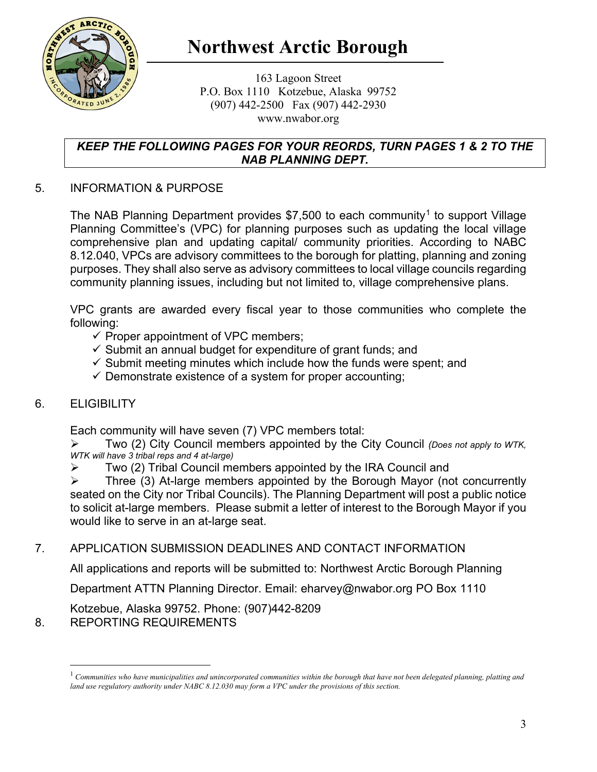

## **Northwest Arctic Borough**

163 Lagoon Street P.O. Box 1110 Kotzebue, Alaska 99752 (907) 442-2500 Fax (907) 442-2930 www.nwabor.org

#### *KEEP THE FOLLOWING PAGES FOR YOUR REORDS, TURN PAGES 1 & 2 TO THE NAB PLANNING DEPT.*

### 5. INFORMATION & PURPOSE

The NAB Planning Department provides \$7,500 to each community<sup>[1](#page-2-0)</sup> to support Village Planning Committee's (VPC) for planning purposes such as updating the local village comprehensive plan and updating capital/ community priorities. According to NABC 8.12.040, VPCs are advisory committees to the borough for platting, planning and zoning purposes. They shall also serve as advisory committees to local village councils regarding community planning issues, including but not limited to, village comprehensive plans.

VPC grants are awarded every fiscal year to those communities who complete the following:

- $\checkmark$  Proper appointment of VPC members;
- $\checkmark$  Submit an annual budget for expenditure of grant funds; and
- $\checkmark$  Submit meeting minutes which include how the funds were spent; and
- $\checkmark$  Demonstrate existence of a system for proper accounting;

### 6. ELIGIBILITY

Each community will have seven (7) VPC members total:

 Two (2) City Council members appointed by the City Council *(Does not apply to WTK, WTK will have 3 tribal reps and 4 at-large)*

 $\triangleright$  Two (2) Tribal Council members appointed by the IRA Council and

 $\triangleright$  Three (3) At-large members appointed by the Borough Mayor (not concurrently seated on the City nor Tribal Councils). The Planning Department will post a public notice to solicit at-large members. Please submit a letter of interest to the Borough Mayor if you would like to serve in an at-large seat.

### 7. APPLICATION SUBMISSION DEADLINES AND CONTACT INFORMATION

All applications and reports will be submitted to: Northwest Arctic Borough Planning

Department ATTN Planning Director. Email: eharvey@nwabor.org PO Box 1110

Kotzebue, Alaska 99752. Phone: (907)442-8209

<span id="page-2-0"></span>8. REPORTING REQUIREMENTS

<sup>1</sup> *Communities who have municipalities and unincorporated communities within the borough that have not been delegated planning, platting and land use regulatory authority under NABC 8.12.030 may form a VPC under the provisions of this section.*